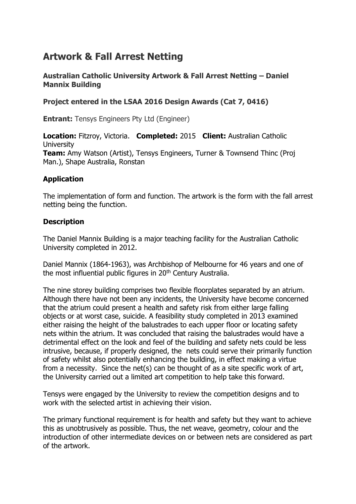# **Artwork & Fall Arrest Netting**

## **Australian Catholic University Artwork & Fall Arrest Netting – Daniel Mannix Building**

## **Project entered in the LSAA 2016 Design Awards (Cat 7, 0416)**

**Entrant:** Tensys Engineers Pty Ltd (Engineer)

**Location:** Fitzroy, Victoria. **Completed:** 2015 **Client:** Australian Catholic **University Team:** Amy Watson (Artist), Tensys Engineers, Turner & Townsend Thinc (Proj Man.), Shape Australia, Ronstan

### **Application**

The implementation of form and function. The artwork is the form with the fall arrest netting being the function.

#### **Description**

The Daniel Mannix Building is a major teaching facility for the Australian Catholic University completed in 2012.

Daniel Mannix (1864-1963), was Archbishop of Melbourne for 46 years and one of the most influential public figures in 20<sup>th</sup> Century Australia.

The nine storey building comprises two flexible floorplates separated by an atrium. Although there have not been any incidents, the University have become concerned that the atrium could present a health and safety risk from either large falling objects or at worst case, suicide. A feasibility study completed in 2013 examined either raising the height of the balustrades to each upper floor or locating safety nets within the atrium. It was concluded that raising the balustrades would have a detrimental effect on the look and feel of the building and safety nets could be less intrusive, because, if properly designed, the nets could serve their primarily function of safety whilst also potentially enhancing the building, in effect making a virtue from a necessity. Since the net(s) can be thought of as a site specific work of art, the University carried out a limited art competition to help take this forward.

Tensys were engaged by the University to review the competition designs and to work with the selected artist in achieving their vision.

The primary functional requirement is for health and safety but they want to achieve this as unobtrusively as possible. Thus, the net weave, geometry, colour and the introduction of other intermediate devices on or between nets are considered as part of the artwork.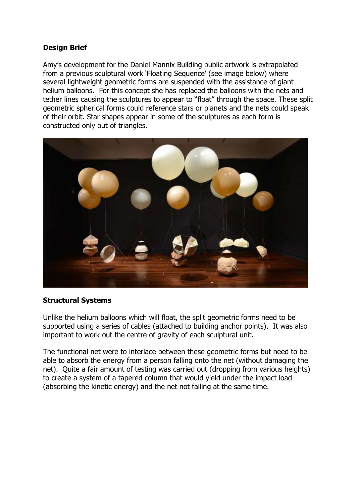# **Design Brief**

Amy's development for the Daniel Mannix Building public artwork is extrapolated from a previous sculptural work 'Floating Sequence' (see image below) where several lightweight geometric forms are suspended with the assistance of giant helium balloons. For this concept she has replaced the balloons with the nets and tether lines causing the sculptures to appear to "float" through the space. These split geometric spherical forms could reference stars or planets and the nets could speak of their orbit. Star shapes appear in some of the sculptures as each form is constructed only out of triangles.



### **Structural Systems**

Unlike the helium balloons which will float, the split geometric forms need to be supported using a series of cables (attached to building anchor points). It was also important to work out the centre of gravity of each sculptural unit.

The functional net were to interlace between these geometric forms but need to be able to absorb the energy from a person falling onto the net (without damaging the net). Quite a fair amount of testing was carried out (dropping from various heights) to create a system of a tapered column that would yield under the impact load (absorbing the kinetic energy) and the net not failing at the same time.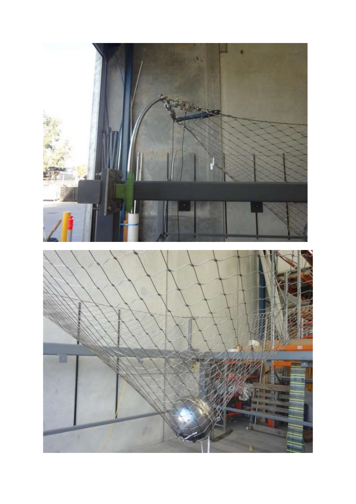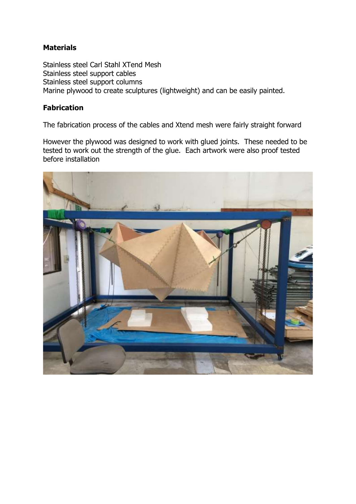## **Materials**

Stainless steel Carl Stahl XTend Mesh Stainless steel support cables Stainless steel support columns Marine plywood to create sculptures (lightweight) and can be easily painted.

#### **Fabrication**

The fabrication process of the cables and Xtend mesh were fairly straight forward

However the plywood was designed to work with glued joints. These needed to be tested to work out the strength of the glue. Each artwork were also proof tested before installation